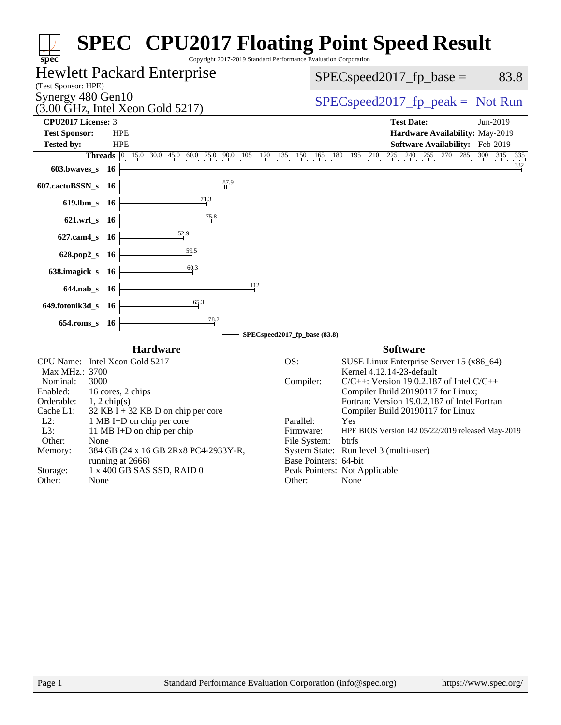|                                                                                                                                                                                                                                                                                                                                                                                                                                                | <b>SPEC<sup>®</sup> CPU2017 Floating Point Speed Result</b>                                                                                                                                                                                                                                                                                                                                                                                                                                                                   |
|------------------------------------------------------------------------------------------------------------------------------------------------------------------------------------------------------------------------------------------------------------------------------------------------------------------------------------------------------------------------------------------------------------------------------------------------|-------------------------------------------------------------------------------------------------------------------------------------------------------------------------------------------------------------------------------------------------------------------------------------------------------------------------------------------------------------------------------------------------------------------------------------------------------------------------------------------------------------------------------|
| Copyright 2017-2019 Standard Performance Evaluation Corporation<br>$spec^*$<br><b>Hewlett Packard Enterprise</b>                                                                                                                                                                                                                                                                                                                               |                                                                                                                                                                                                                                                                                                                                                                                                                                                                                                                               |
| (Test Sponsor: HPE)                                                                                                                                                                                                                                                                                                                                                                                                                            | $SPEC speed2017_fp\_base =$<br>83.8                                                                                                                                                                                                                                                                                                                                                                                                                                                                                           |
| Synergy 480 Gen10<br>$(3.00 \text{ GHz}, \text{Intel Xeon Gold } 5217)$                                                                                                                                                                                                                                                                                                                                                                        | $SPEC speed2017fr peak = Not Run$                                                                                                                                                                                                                                                                                                                                                                                                                                                                                             |
| CPU2017 License: 3                                                                                                                                                                                                                                                                                                                                                                                                                             | <b>Test Date:</b><br>Jun-2019                                                                                                                                                                                                                                                                                                                                                                                                                                                                                                 |
| <b>Test Sponsor:</b><br><b>HPE</b><br><b>Tested by:</b><br><b>HPE</b>                                                                                                                                                                                                                                                                                                                                                                          | Hardware Availability: May-2019<br>Software Availability: Feb-2019                                                                                                                                                                                                                                                                                                                                                                                                                                                            |
|                                                                                                                                                                                                                                                                                                                                                                                                                                                | Threads 0 15.0 30.0 45.0 60.0 75.0 90.0 105 120 135 150 165 180 195 210 225 240 255 270 285 300 315<br>335                                                                                                                                                                                                                                                                                                                                                                                                                    |
| $603.bwaves$ 16                                                                                                                                                                                                                                                                                                                                                                                                                                | $\frac{332}{4}$                                                                                                                                                                                                                                                                                                                                                                                                                                                                                                               |
| 87.9<br>607.cactuBSSN_s<br>- 16                                                                                                                                                                                                                                                                                                                                                                                                                |                                                                                                                                                                                                                                                                                                                                                                                                                                                                                                                               |
| $\frac{71.3}{ }$<br>$619$ .lbm_s<br>- 16                                                                                                                                                                                                                                                                                                                                                                                                       |                                                                                                                                                                                                                                                                                                                                                                                                                                                                                                                               |
| 75.8<br>621.wrf_s 16                                                                                                                                                                                                                                                                                                                                                                                                                           |                                                                                                                                                                                                                                                                                                                                                                                                                                                                                                                               |
| $\frac{52.9}{5}$<br>$627$ .cam $4$ <sub>S</sub><br>- 16                                                                                                                                                                                                                                                                                                                                                                                        |                                                                                                                                                                                                                                                                                                                                                                                                                                                                                                                               |
| $\frac{59.5}{5}$<br>628.pop2_s<br>- 16                                                                                                                                                                                                                                                                                                                                                                                                         |                                                                                                                                                                                                                                                                                                                                                                                                                                                                                                                               |
| 60.3<br>638.imagick_s<br>- 16                                                                                                                                                                                                                                                                                                                                                                                                                  |                                                                                                                                                                                                                                                                                                                                                                                                                                                                                                                               |
| 112<br>$644$ .nab s<br>- 16                                                                                                                                                                                                                                                                                                                                                                                                                    |                                                                                                                                                                                                                                                                                                                                                                                                                                                                                                                               |
| 65.3<br>649.fotonik3d_s 16                                                                                                                                                                                                                                                                                                                                                                                                                     |                                                                                                                                                                                                                                                                                                                                                                                                                                                                                                                               |
| $\frac{78.2}{9}$<br>$654$ .roms_s<br>- 16                                                                                                                                                                                                                                                                                                                                                                                                      |                                                                                                                                                                                                                                                                                                                                                                                                                                                                                                                               |
|                                                                                                                                                                                                                                                                                                                                                                                                                                                | SPECspeed2017_fp_base (83.8)                                                                                                                                                                                                                                                                                                                                                                                                                                                                                                  |
| <b>Hardware</b><br>CPU Name: Intel Xeon Gold 5217<br>Max MHz.: 3700<br>Nominal:<br>3000<br>Enabled:<br>16 cores, 2 chips<br>Orderable:<br>$1, 2$ chip(s)<br>$32$ KB I + 32 KB D on chip per core<br>Cache L1:<br>$L2$ :<br>1 MB I+D on chip per core<br>L3:<br>11 MB I+D on chip per chip<br>Other:<br>None<br>384 GB (24 x 16 GB 2Rx8 PC4-2933Y-R,<br>Memory:<br>running at 2666)<br>1 x 400 GB SAS SSD, RAID 0<br>Storage:<br>Other:<br>None | <b>Software</b><br>OS:<br>SUSE Linux Enterprise Server 15 (x86_64)<br>Kernel 4.12.14-23-default<br>Compiler:<br>$C/C++$ : Version 19.0.2.187 of Intel $C/C++$<br>Compiler Build 20190117 for Linux;<br>Fortran: Version 19.0.2.187 of Intel Fortran<br>Compiler Build 20190117 for Linux<br>Parallel:<br>Yes<br>HPE BIOS Version I42 05/22/2019 released May-2019<br>Firmware:<br>File System:<br>btrts<br>System State: Run level 3 (multi-user)<br>Base Pointers: 64-bit<br>Peak Pointers: Not Applicable<br>None<br>Other: |
| $D_{0}$ on 1<br>Standard Darformange Evaluation Corporation (info@gnee.org)                                                                                                                                                                                                                                                                                                                                                                    | http://www.000000                                                                                                                                                                                                                                                                                                                                                                                                                                                                                                             |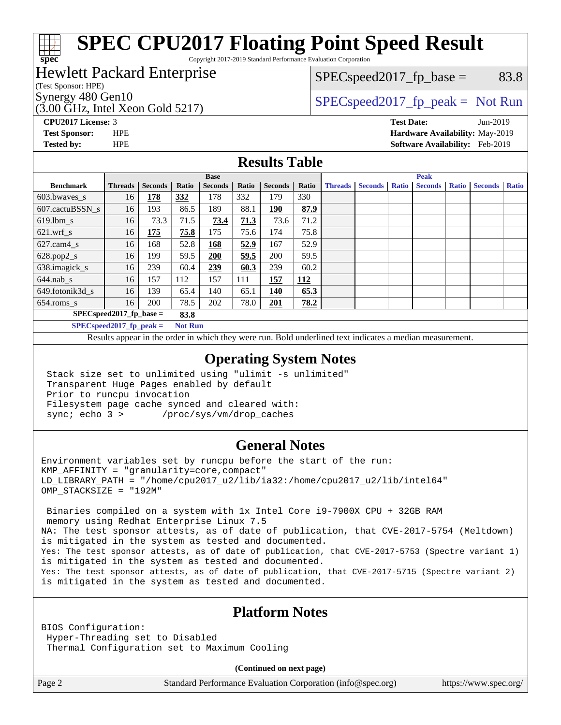# **[SPEC CPU2017 Floating Point Speed Result](http://www.spec.org/auto/cpu2017/Docs/result-fields.html#SPECCPU2017FloatingPointSpeedResult)**

Copyright 2017-2019 Standard Performance Evaluation Corporation

### Hewlett Packard Enterprise

### $SPEC speed2017_fp\_base = 83.8$

(Test Sponsor: HPE)

**[spec](http://www.spec.org/)**

(3.00 GHz, Intel Xeon Gold 5217)

Synergy 480 Gen10  $SPEC speed2017$  fp\_peak = Not Run

**[CPU2017 License:](http://www.spec.org/auto/cpu2017/Docs/result-fields.html#CPU2017License)** 3 **[Test Date:](http://www.spec.org/auto/cpu2017/Docs/result-fields.html#TestDate)** Jun-2019 **[Test Sponsor:](http://www.spec.org/auto/cpu2017/Docs/result-fields.html#TestSponsor)** HPE **[Hardware Availability:](http://www.spec.org/auto/cpu2017/Docs/result-fields.html#HardwareAvailability)** May-2019 **[Tested by:](http://www.spec.org/auto/cpu2017/Docs/result-fields.html#Testedby)** HPE **[Software Availability:](http://www.spec.org/auto/cpu2017/Docs/result-fields.html#SoftwareAvailability)** Feb-2019

#### **[Results Table](http://www.spec.org/auto/cpu2017/Docs/result-fields.html#ResultsTable)**

|                                                     | <b>Base</b>             |                |       |                |       |                | <b>Peak</b> |                |                |              |                |              |                |              |
|-----------------------------------------------------|-------------------------|----------------|-------|----------------|-------|----------------|-------------|----------------|----------------|--------------|----------------|--------------|----------------|--------------|
| <b>Benchmark</b>                                    | <b>Threads</b>          | <b>Seconds</b> | Ratio | <b>Seconds</b> | Ratio | <b>Seconds</b> | Ratio       | <b>Threads</b> | <b>Seconds</b> | <b>Ratio</b> | <b>Seconds</b> | <b>Ratio</b> | <b>Seconds</b> | <b>Ratio</b> |
| $603.bwaves$ s                                      | 16                      | 178            | 332   | 178            | 332   | 179            | 330         |                |                |              |                |              |                |              |
| 607.cactuBSSN s                                     | 16                      | 193            | 86.5  | 189            | 88.1  | 190            | 87.9        |                |                |              |                |              |                |              |
| $619.1$ bm s                                        | 16                      | 73.3           | 71.5  | 73.4           | 71.3  | 73.6           | 71.2        |                |                |              |                |              |                |              |
| $621.wrf$ s                                         | 16                      | <u>175</u>     | 75.8  | 175            | 75.6  | 174            | 75.8        |                |                |              |                |              |                |              |
| $627$ .cam4 s                                       | 16                      | 168            | 52.8  | 168            | 52.9  | 167            | 52.9        |                |                |              |                |              |                |              |
| $628.pop2_s$                                        | 16                      | 199            | 59.5  | 200            | 59.5  | 200            | 59.5        |                |                |              |                |              |                |              |
| 638.imagick_s                                       | 16                      | 239            | 60.4  | 239            | 60.3  | 239            | 60.2        |                |                |              |                |              |                |              |
| $644$ .nab s                                        | 16                      | 157            | 112   | 157            | 111   | 157            | <u> 112</u> |                |                |              |                |              |                |              |
| 649.fotonik3d s                                     | 16                      | 139            | 65.4  | 140            | 65.1  | <u>140</u>     | 65.3        |                |                |              |                |              |                |              |
| $654$ .roms s                                       | 16                      | 200            | 78.5  | 202            | 78.0  | 201            | 78.2        |                |                |              |                |              |                |              |
| $SPEC speed2017_fp\_base =$<br>83.8                 |                         |                |       |                |       |                |             |                |                |              |                |              |                |              |
| $CDFC_{\alpha p, \alpha q}$ $2017$ fr $p, \alpha q$ | $Nof$ D <sub>1111</sub> |                |       |                |       |                |             |                |                |              |                |              |                |              |

**EUspeed2017\_ip\_peak =** 

Results appear in the [order in which they were run.](http://www.spec.org/auto/cpu2017/Docs/result-fields.html#RunOrder) Bold underlined text [indicates a median measurement](http://www.spec.org/auto/cpu2017/Docs/result-fields.html#Median).

#### **[Operating System Notes](http://www.spec.org/auto/cpu2017/Docs/result-fields.html#OperatingSystemNotes)**

 Stack size set to unlimited using "ulimit -s unlimited" Transparent Huge Pages enabled by default Prior to runcpu invocation Filesystem page cache synced and cleared with: sync; echo 3 > /proc/sys/vm/drop\_caches

#### **[General Notes](http://www.spec.org/auto/cpu2017/Docs/result-fields.html#GeneralNotes)**

Environment variables set by runcpu before the start of the run: KMP\_AFFINITY = "granularity=core,compact" LD\_LIBRARY\_PATH = "/home/cpu2017\_u2/lib/ia32:/home/cpu2017\_u2/lib/intel64" OMP\_STACKSIZE = "192M"

 Binaries compiled on a system with 1x Intel Core i9-7900X CPU + 32GB RAM memory using Redhat Enterprise Linux 7.5 NA: The test sponsor attests, as of date of publication, that CVE-2017-5754 (Meltdown) is mitigated in the system as tested and documented. Yes: The test sponsor attests, as of date of publication, that CVE-2017-5753 (Spectre variant 1) is mitigated in the system as tested and documented. Yes: The test sponsor attests, as of date of publication, that CVE-2017-5715 (Spectre variant 2) is mitigated in the system as tested and documented.

#### **[Platform Notes](http://www.spec.org/auto/cpu2017/Docs/result-fields.html#PlatformNotes)**

BIOS Configuration: Hyper-Threading set to Disabled Thermal Configuration set to Maximum Cooling

**(Continued on next page)**

Page 2 Standard Performance Evaluation Corporation [\(info@spec.org\)](mailto:info@spec.org) <https://www.spec.org/>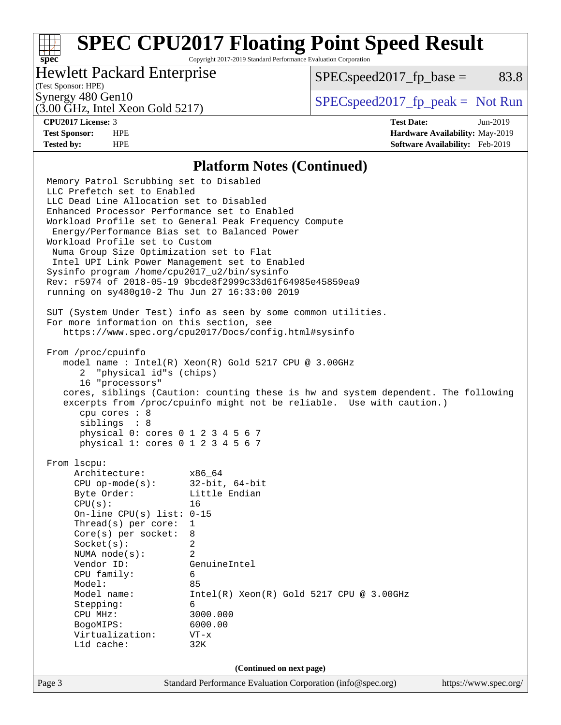## **[SPEC CPU2017 Floating Point Speed Result](http://www.spec.org/auto/cpu2017/Docs/result-fields.html#SPECCPU2017FloatingPointSpeedResult)**

Copyright 2017-2019 Standard Performance Evaluation Corporation

### Hewlett Packard Enterprise

 $SPEC speed2017_fp\_base = 83.8$ 

## (Test Sponsor: HPE)

(3.00 GHz, Intel Xeon Gold 5217)

Synergy 480 Gen10  $S^{perg}$  [SPECspeed2017\\_fp\\_peak =](http://www.spec.org/auto/cpu2017/Docs/result-fields.html#SPECspeed2017fppeak) Not Run

**[spec](http://www.spec.org/)**

**[CPU2017 License:](http://www.spec.org/auto/cpu2017/Docs/result-fields.html#CPU2017License)** 3 **[Test Date:](http://www.spec.org/auto/cpu2017/Docs/result-fields.html#TestDate)** Jun-2019 **[Test Sponsor:](http://www.spec.org/auto/cpu2017/Docs/result-fields.html#TestSponsor)** HPE **[Hardware Availability:](http://www.spec.org/auto/cpu2017/Docs/result-fields.html#HardwareAvailability)** May-2019 **[Tested by:](http://www.spec.org/auto/cpu2017/Docs/result-fields.html#Testedby)** HPE **[Software Availability:](http://www.spec.org/auto/cpu2017/Docs/result-fields.html#SoftwareAvailability)** Feb-2019

#### **[Platform Notes \(Continued\)](http://www.spec.org/auto/cpu2017/Docs/result-fields.html#PlatformNotes)**

Page 3 Standard Performance Evaluation Corporation [\(info@spec.org\)](mailto:info@spec.org) <https://www.spec.org/> Memory Patrol Scrubbing set to Disabled LLC Prefetch set to Enabled LLC Dead Line Allocation set to Disabled Enhanced Processor Performance set to Enabled Workload Profile set to General Peak Frequency Compute Energy/Performance Bias set to Balanced Power Workload Profile set to Custom Numa Group Size Optimization set to Flat Intel UPI Link Power Management set to Enabled Sysinfo program /home/cpu2017\_u2/bin/sysinfo Rev: r5974 of 2018-05-19 9bcde8f2999c33d61f64985e45859ea9 running on sy480g10-2 Thu Jun 27 16:33:00 2019 SUT (System Under Test) info as seen by some common utilities. For more information on this section, see <https://www.spec.org/cpu2017/Docs/config.html#sysinfo> From /proc/cpuinfo model name : Intel(R) Xeon(R) Gold 5217 CPU @ 3.00GHz 2 "physical id"s (chips) 16 "processors" cores, siblings (Caution: counting these is hw and system dependent. The following excerpts from /proc/cpuinfo might not be reliable. Use with caution.) cpu cores : 8 siblings : 8 physical 0: cores 0 1 2 3 4 5 6 7 physical 1: cores 0 1 2 3 4 5 6 7 From lscpu: Architecture: x86\_64 CPU op-mode(s): 32-bit, 64-bit Byte Order: Little Endian CPU(s): 16 On-line CPU(s) list: 0-15 Thread(s) per core: 1 Core(s) per socket: 8 Socket(s): 2 NUMA node(s): 2 Vendor ID: GenuineIntel CPU family: 6 Model: 85 Model name: Intel(R) Xeon(R) Gold 5217 CPU @ 3.00GHz Stepping: 6 CPU MHz: 3000.000 BogoMIPS: 6000.00 Virtualization: VT-x L1d cache: 32K **(Continued on next page)**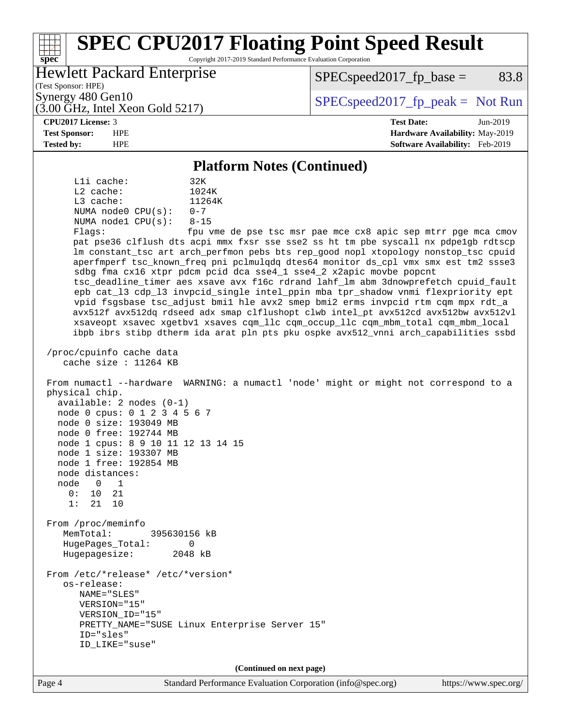#### **[spec](http://www.spec.org/) [SPEC CPU2017 Floating Point Speed Result](http://www.spec.org/auto/cpu2017/Docs/result-fields.html#SPECCPU2017FloatingPointSpeedResult)** Copyright 2017-2019 Standard Performance Evaluation Corporation (Test Sponsor: HPE) Hewlett Packard Enterprise (3.00 GHz, Intel Xeon Gold 5217) Synergy 480 Gen10  $S^{perg}$  [SPECspeed2017\\_fp\\_peak =](http://www.spec.org/auto/cpu2017/Docs/result-fields.html#SPECspeed2017fppeak) Not Run  $SPEC speed2017<sub>fp</sub> base = 83.8$ **[CPU2017 License:](http://www.spec.org/auto/cpu2017/Docs/result-fields.html#CPU2017License)** 3 **[Test Date:](http://www.spec.org/auto/cpu2017/Docs/result-fields.html#TestDate)** Jun-2019 **[Test Sponsor:](http://www.spec.org/auto/cpu2017/Docs/result-fields.html#TestSponsor)** HPE **[Hardware Availability:](http://www.spec.org/auto/cpu2017/Docs/result-fields.html#HardwareAvailability)** May-2019 **[Tested by:](http://www.spec.org/auto/cpu2017/Docs/result-fields.html#Testedby)** HPE **[Software Availability:](http://www.spec.org/auto/cpu2017/Docs/result-fields.html#SoftwareAvailability)** Feb-2019 **[Platform Notes \(Continued\)](http://www.spec.org/auto/cpu2017/Docs/result-fields.html#PlatformNotes)** L1i cache: 32K L2 cache: 1024K<br>
L3 cache: 11264K  $L3$  cache: NUMA node0 CPU(s): 0-7 NUMA node1 CPU(s): 8-15 Flags: fpu vme de pse tsc msr pae mce cx8 apic sep mtrr pge mca cmov pat pse36 clflush dts acpi mmx fxsr sse sse2 ss ht tm pbe syscall nx pdpe1gb rdtscp lm constant\_tsc art arch\_perfmon pebs bts rep\_good nopl xtopology nonstop\_tsc cpuid aperfmperf tsc\_known\_freq pni pclmulqdq dtes64 monitor ds\_cpl vmx smx est tm2 ssse3 sdbg fma cx16 xtpr pdcm pcid dca sse4\_1 sse4\_2 x2apic movbe popcnt tsc\_deadline\_timer aes xsave avx f16c rdrand lahf\_lm abm 3dnowprefetch cpuid\_fault epb cat\_l3 cdp\_l3 invpcid\_single intel\_ppin mba tpr\_shadow vnmi flexpriority ept vpid fsgsbase tsc\_adjust bmi1 hle avx2 smep bmi2 erms invpcid rtm cqm mpx rdt\_a avx512f avx512dq rdseed adx smap clflushopt clwb intel\_pt avx512cd avx512bw avx512vl xsaveopt xsavec xgetbv1 xsaves cqm\_llc cqm\_occup\_llc cqm\_mbm\_total cqm\_mbm\_local ibpb ibrs stibp dtherm ida arat pln pts pku ospke avx512\_vnni arch\_capabilities ssbd /proc/cpuinfo cache data cache size : 11264 KB From numactl --hardware WARNING: a numactl 'node' might or might not correspond to a physical chip. available: 2 nodes (0-1) node 0 cpus: 0 1 2 3 4 5 6 7 node 0 size: 193049 MB node 0 free: 192744 MB node 1 cpus: 8 9 10 11 12 13 14 15 node 1 size: 193307 MB node 1 free: 192854 MB node distances: node 0 1  $0: 10 21$  1: 21 10 From /proc/meminfo MemTotal: 395630156 kB HugePages\_Total: 0 Hugepagesize: 2048 kB From /etc/\*release\* /etc/\*version\* os-release: NAME="SLES" VERSION="15" VERSION\_ID="15" PRETTY\_NAME="SUSE Linux Enterprise Server 15" ID="sles" ID\_LIKE="suse" **(Continued on next page)**

Page 4 Standard Performance Evaluation Corporation [\(info@spec.org\)](mailto:info@spec.org) <https://www.spec.org/>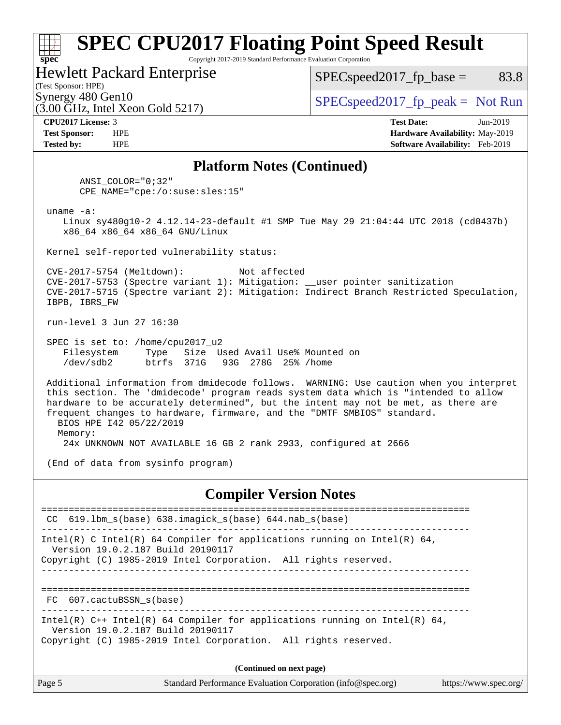#### **[spec](http://www.spec.org/) [SPEC CPU2017 Floating Point Speed Result](http://www.spec.org/auto/cpu2017/Docs/result-fields.html#SPECCPU2017FloatingPointSpeedResult)** Copyright 2017-2019 Standard Performance Evaluation Corporation Hewlett Packard Enterprise  $SPEC speed2017_fp\_base = 83.8$

(Test Sponsor: HPE)

 $(3.00 \text{ GHz}, \text{Intel Xeon}$  Gold 5217)

Synergy 480 Gen10  $SPEC speed2017$  fp\_peak = Not Run

**[CPU2017 License:](http://www.spec.org/auto/cpu2017/Docs/result-fields.html#CPU2017License)** 3 **[Test Date:](http://www.spec.org/auto/cpu2017/Docs/result-fields.html#TestDate)** Jun-2019 **[Test Sponsor:](http://www.spec.org/auto/cpu2017/Docs/result-fields.html#TestSponsor)** HPE **[Hardware Availability:](http://www.spec.org/auto/cpu2017/Docs/result-fields.html#HardwareAvailability)** May-2019 **[Tested by:](http://www.spec.org/auto/cpu2017/Docs/result-fields.html#Testedby)** HPE **[Software Availability:](http://www.spec.org/auto/cpu2017/Docs/result-fields.html#SoftwareAvailability)** Feb-2019

#### **[Platform Notes \(Continued\)](http://www.spec.org/auto/cpu2017/Docs/result-fields.html#PlatformNotes)**

 ANSI\_COLOR="0;32" CPE\_NAME="cpe:/o:suse:sles:15"

uname -a:

 Linux sy480g10-2 4.12.14-23-default #1 SMP Tue May 29 21:04:44 UTC 2018 (cd0437b) x86\_64 x86\_64 x86\_64 GNU/Linux

Kernel self-reported vulnerability status:

 CVE-2017-5754 (Meltdown): Not affected CVE-2017-5753 (Spectre variant 1): Mitigation: \_\_user pointer sanitization CVE-2017-5715 (Spectre variant 2): Mitigation: Indirect Branch Restricted Speculation, IBPB, IBRS\_FW

run-level 3 Jun 27 16:30

 SPEC is set to: /home/cpu2017\_u2 Filesystem Type Size Used Avail Use% Mounted on /dev/sdb2 btrfs 371G 93G 278G 25% /home

 Additional information from dmidecode follows. WARNING: Use caution when you interpret this section. The 'dmidecode' program reads system data which is "intended to allow hardware to be accurately determined", but the intent may not be met, as there are frequent changes to hardware, firmware, and the "DMTF SMBIOS" standard. BIOS HPE I42 05/22/2019 Memory:

24x UNKNOWN NOT AVAILABLE 16 GB 2 rank 2933, configured at 2666

(End of data from sysinfo program)

#### **[Compiler Version Notes](http://www.spec.org/auto/cpu2017/Docs/result-fields.html#CompilerVersionNotes)**

============================================================================== CC 619.lbm\_s(base) 638.imagick\_s(base) 644.nab\_s(base) ------------------------------------------------------------------------------ Intel(R) C Intel(R) 64 Compiler for applications running on Intel(R)  $64$ , Version 19.0.2.187 Build 20190117 Copyright (C) 1985-2019 Intel Corporation. All rights reserved. ------------------------------------------------------------------------------ ============================================================================== FC 607.cactuBSSN\_s(base) ------------------------------------------------------------------------------ Intel(R) C++ Intel(R) 64 Compiler for applications running on Intel(R) 64, Version 19.0.2.187 Build 20190117 Copyright (C) 1985-2019 Intel Corporation. All rights reserved. **(Continued on next page)**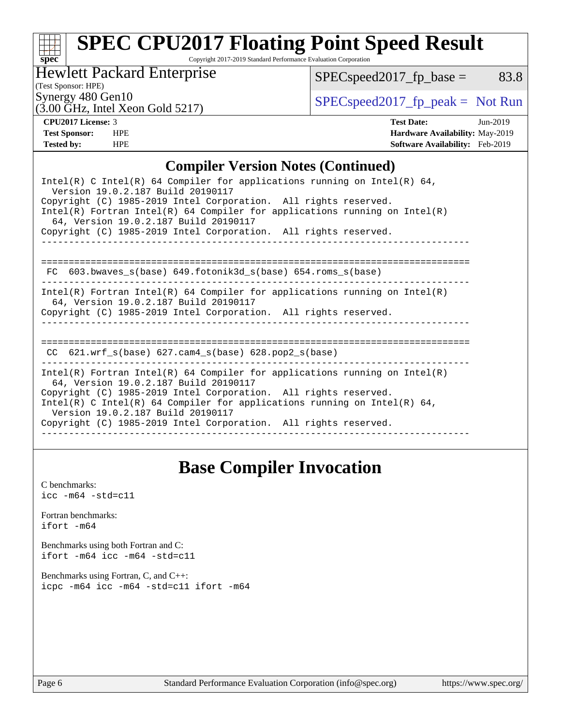# **[spec](http://www.spec.org/)**

# **[SPEC CPU2017 Floating Point Speed Result](http://www.spec.org/auto/cpu2017/Docs/result-fields.html#SPECCPU2017FloatingPointSpeedResult)**

Copyright 2017-2019 Standard Performance Evaluation Corporation

Hewlett Packard Enterprise

(3.00 GHz, Intel Xeon Gold 5217)

 $SPEC speed2017_fp\_base = 83.8$ 

(Test Sponsor: HPE)

Synergy 480 Gen10<br>  $SPEC speed2017<sub>rfp</sub> peak = Not Run$ <br>  $(3.00 GHz<sub>z</sub> Intel Yoon Gold 5217)$ 

**[CPU2017 License:](http://www.spec.org/auto/cpu2017/Docs/result-fields.html#CPU2017License)** 3 **[Test Date:](http://www.spec.org/auto/cpu2017/Docs/result-fields.html#TestDate)** Jun-2019 **[Test Sponsor:](http://www.spec.org/auto/cpu2017/Docs/result-fields.html#TestSponsor)** HPE **[Hardware Availability:](http://www.spec.org/auto/cpu2017/Docs/result-fields.html#HardwareAvailability)** May-2019 **[Tested by:](http://www.spec.org/auto/cpu2017/Docs/result-fields.html#Testedby)** HPE **[Software Availability:](http://www.spec.org/auto/cpu2017/Docs/result-fields.html#SoftwareAvailability)** Feb-2019

#### **[Compiler Version Notes \(Continued\)](http://www.spec.org/auto/cpu2017/Docs/result-fields.html#CompilerVersionNotes)**

## **[Base Compiler Invocation](http://www.spec.org/auto/cpu2017/Docs/result-fields.html#BaseCompilerInvocation)**

[C benchmarks](http://www.spec.org/auto/cpu2017/Docs/result-fields.html#Cbenchmarks):  $\text{icc}$  -m64 -std=c11 [Fortran benchmarks](http://www.spec.org/auto/cpu2017/Docs/result-fields.html#Fortranbenchmarks): [ifort -m64](http://www.spec.org/cpu2017/results/res2019q3/cpu2017-20190709-16100.flags.html#user_FCbase_intel_ifort_64bit_24f2bb282fbaeffd6157abe4f878425411749daecae9a33200eee2bee2fe76f3b89351d69a8130dd5949958ce389cf37ff59a95e7a40d588e8d3a57e0c3fd751) [Benchmarks using both Fortran and C](http://www.spec.org/auto/cpu2017/Docs/result-fields.html#BenchmarksusingbothFortranandC): [ifort -m64](http://www.spec.org/cpu2017/results/res2019q3/cpu2017-20190709-16100.flags.html#user_CC_FCbase_intel_ifort_64bit_24f2bb282fbaeffd6157abe4f878425411749daecae9a33200eee2bee2fe76f3b89351d69a8130dd5949958ce389cf37ff59a95e7a40d588e8d3a57e0c3fd751) [icc -m64 -std=c11](http://www.spec.org/cpu2017/results/res2019q3/cpu2017-20190709-16100.flags.html#user_CC_FCbase_intel_icc_64bit_c11_33ee0cdaae7deeeab2a9725423ba97205ce30f63b9926c2519791662299b76a0318f32ddfffdc46587804de3178b4f9328c46fa7c2b0cd779d7a61945c91cd35) [Benchmarks using Fortran, C, and C++:](http://www.spec.org/auto/cpu2017/Docs/result-fields.html#BenchmarksusingFortranCandCXX) [icpc -m64](http://www.spec.org/cpu2017/results/res2019q3/cpu2017-20190709-16100.flags.html#user_CC_CXX_FCbase_intel_icpc_64bit_4ecb2543ae3f1412ef961e0650ca070fec7b7afdcd6ed48761b84423119d1bf6bdf5cad15b44d48e7256388bc77273b966e5eb805aefd121eb22e9299b2ec9d9) [icc -m64 -std=c11](http://www.spec.org/cpu2017/results/res2019q3/cpu2017-20190709-16100.flags.html#user_CC_CXX_FCbase_intel_icc_64bit_c11_33ee0cdaae7deeeab2a9725423ba97205ce30f63b9926c2519791662299b76a0318f32ddfffdc46587804de3178b4f9328c46fa7c2b0cd779d7a61945c91cd35) [ifort -m64](http://www.spec.org/cpu2017/results/res2019q3/cpu2017-20190709-16100.flags.html#user_CC_CXX_FCbase_intel_ifort_64bit_24f2bb282fbaeffd6157abe4f878425411749daecae9a33200eee2bee2fe76f3b89351d69a8130dd5949958ce389cf37ff59a95e7a40d588e8d3a57e0c3fd751)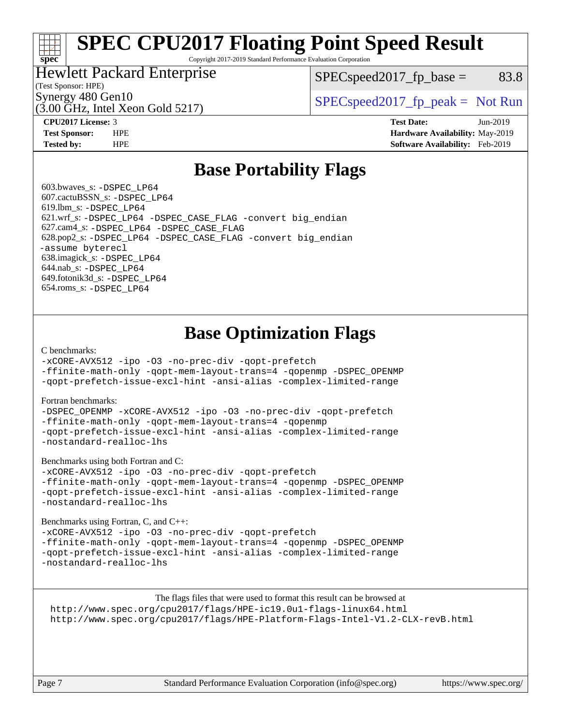# **[SPEC CPU2017 Floating Point Speed Result](http://www.spec.org/auto/cpu2017/Docs/result-fields.html#SPECCPU2017FloatingPointSpeedResult)**

Copyright 2017-2019 Standard Performance Evaluation Corporation

### Hewlett Packard Enterprise

 $SPEC speed2017_fp\_base = 83.8$ 

(Test Sponsor: HPE)

(3.00 GHz, Intel Xeon Gold 5217)

Synergy 480 Gen10  $S^{per}$  [SPECspeed2017\\_fp\\_peak =](http://www.spec.org/auto/cpu2017/Docs/result-fields.html#SPECspeed2017fppeak) Not Run

**[spec](http://www.spec.org/)**

**[CPU2017 License:](http://www.spec.org/auto/cpu2017/Docs/result-fields.html#CPU2017License)** 3 **[Test Date:](http://www.spec.org/auto/cpu2017/Docs/result-fields.html#TestDate)** Jun-2019 **[Test Sponsor:](http://www.spec.org/auto/cpu2017/Docs/result-fields.html#TestSponsor)** HPE **[Hardware Availability:](http://www.spec.org/auto/cpu2017/Docs/result-fields.html#HardwareAvailability)** May-2019 **[Tested by:](http://www.spec.org/auto/cpu2017/Docs/result-fields.html#Testedby)** HPE **[Software Availability:](http://www.spec.org/auto/cpu2017/Docs/result-fields.html#SoftwareAvailability)** Feb-2019

## **[Base Portability Flags](http://www.spec.org/auto/cpu2017/Docs/result-fields.html#BasePortabilityFlags)**

 603.bwaves\_s: [-DSPEC\\_LP64](http://www.spec.org/cpu2017/results/res2019q3/cpu2017-20190709-16100.flags.html#suite_basePORTABILITY603_bwaves_s_DSPEC_LP64) 607.cactuBSSN\_s: [-DSPEC\\_LP64](http://www.spec.org/cpu2017/results/res2019q3/cpu2017-20190709-16100.flags.html#suite_basePORTABILITY607_cactuBSSN_s_DSPEC_LP64) 619.lbm\_s: [-DSPEC\\_LP64](http://www.spec.org/cpu2017/results/res2019q3/cpu2017-20190709-16100.flags.html#suite_basePORTABILITY619_lbm_s_DSPEC_LP64) 621.wrf\_s: [-DSPEC\\_LP64](http://www.spec.org/cpu2017/results/res2019q3/cpu2017-20190709-16100.flags.html#suite_basePORTABILITY621_wrf_s_DSPEC_LP64) [-DSPEC\\_CASE\\_FLAG](http://www.spec.org/cpu2017/results/res2019q3/cpu2017-20190709-16100.flags.html#b621.wrf_s_baseCPORTABILITY_DSPEC_CASE_FLAG) [-convert big\\_endian](http://www.spec.org/cpu2017/results/res2019q3/cpu2017-20190709-16100.flags.html#user_baseFPORTABILITY621_wrf_s_convert_big_endian_c3194028bc08c63ac5d04de18c48ce6d347e4e562e8892b8bdbdc0214820426deb8554edfa529a3fb25a586e65a3d812c835984020483e7e73212c4d31a38223) 627.cam4\_s: [-DSPEC\\_LP64](http://www.spec.org/cpu2017/results/res2019q3/cpu2017-20190709-16100.flags.html#suite_basePORTABILITY627_cam4_s_DSPEC_LP64) [-DSPEC\\_CASE\\_FLAG](http://www.spec.org/cpu2017/results/res2019q3/cpu2017-20190709-16100.flags.html#b627.cam4_s_baseCPORTABILITY_DSPEC_CASE_FLAG) 628.pop2\_s: [-DSPEC\\_LP64](http://www.spec.org/cpu2017/results/res2019q3/cpu2017-20190709-16100.flags.html#suite_basePORTABILITY628_pop2_s_DSPEC_LP64) [-DSPEC\\_CASE\\_FLAG](http://www.spec.org/cpu2017/results/res2019q3/cpu2017-20190709-16100.flags.html#b628.pop2_s_baseCPORTABILITY_DSPEC_CASE_FLAG) [-convert big\\_endian](http://www.spec.org/cpu2017/results/res2019q3/cpu2017-20190709-16100.flags.html#user_baseFPORTABILITY628_pop2_s_convert_big_endian_c3194028bc08c63ac5d04de18c48ce6d347e4e562e8892b8bdbdc0214820426deb8554edfa529a3fb25a586e65a3d812c835984020483e7e73212c4d31a38223) [-assume byterecl](http://www.spec.org/cpu2017/results/res2019q3/cpu2017-20190709-16100.flags.html#user_baseFPORTABILITY628_pop2_s_assume_byterecl_7e47d18b9513cf18525430bbf0f2177aa9bf368bc7a059c09b2c06a34b53bd3447c950d3f8d6c70e3faf3a05c8557d66a5798b567902e8849adc142926523472) 638.imagick\_s: [-DSPEC\\_LP64](http://www.spec.org/cpu2017/results/res2019q3/cpu2017-20190709-16100.flags.html#suite_basePORTABILITY638_imagick_s_DSPEC_LP64) 644.nab\_s: [-DSPEC\\_LP64](http://www.spec.org/cpu2017/results/res2019q3/cpu2017-20190709-16100.flags.html#suite_basePORTABILITY644_nab_s_DSPEC_LP64) 649.fotonik3d\_s: [-DSPEC\\_LP64](http://www.spec.org/cpu2017/results/res2019q3/cpu2017-20190709-16100.flags.html#suite_basePORTABILITY649_fotonik3d_s_DSPEC_LP64) 654.roms\_s: [-DSPEC\\_LP64](http://www.spec.org/cpu2017/results/res2019q3/cpu2017-20190709-16100.flags.html#suite_basePORTABILITY654_roms_s_DSPEC_LP64)

## **[Base Optimization Flags](http://www.spec.org/auto/cpu2017/Docs/result-fields.html#BaseOptimizationFlags)**

#### [C benchmarks](http://www.spec.org/auto/cpu2017/Docs/result-fields.html#Cbenchmarks):

[-xCORE-AVX512](http://www.spec.org/cpu2017/results/res2019q3/cpu2017-20190709-16100.flags.html#user_CCbase_f-xCORE-AVX512) [-ipo](http://www.spec.org/cpu2017/results/res2019q3/cpu2017-20190709-16100.flags.html#user_CCbase_f-ipo) [-O3](http://www.spec.org/cpu2017/results/res2019q3/cpu2017-20190709-16100.flags.html#user_CCbase_f-O3) [-no-prec-div](http://www.spec.org/cpu2017/results/res2019q3/cpu2017-20190709-16100.flags.html#user_CCbase_f-no-prec-div) [-qopt-prefetch](http://www.spec.org/cpu2017/results/res2019q3/cpu2017-20190709-16100.flags.html#user_CCbase_f-qopt-prefetch)

[-ffinite-math-only](http://www.spec.org/cpu2017/results/res2019q3/cpu2017-20190709-16100.flags.html#user_CCbase_f_finite_math_only_cb91587bd2077682c4b38af759c288ed7c732db004271a9512da14a4f8007909a5f1427ecbf1a0fb78ff2a814402c6114ac565ca162485bbcae155b5e4258871) [-qopt-mem-layout-trans=4](http://www.spec.org/cpu2017/results/res2019q3/cpu2017-20190709-16100.flags.html#user_CCbase_f-qopt-mem-layout-trans_fa39e755916c150a61361b7846f310bcdf6f04e385ef281cadf3647acec3f0ae266d1a1d22d972a7087a248fd4e6ca390a3634700869573d231a252c784941a8) [-qopenmp](http://www.spec.org/cpu2017/results/res2019q3/cpu2017-20190709-16100.flags.html#user_CCbase_qopenmp_16be0c44f24f464004c6784a7acb94aca937f053568ce72f94b139a11c7c168634a55f6653758ddd83bcf7b8463e8028bb0b48b77bcddc6b78d5d95bb1df2967) [-DSPEC\\_OPENMP](http://www.spec.org/cpu2017/results/res2019q3/cpu2017-20190709-16100.flags.html#suite_CCbase_DSPEC_OPENMP) [-qopt-prefetch-issue-excl-hint](http://www.spec.org/cpu2017/results/res2019q3/cpu2017-20190709-16100.flags.html#user_CCbase_f-qopt-prefetch-issue-excl-hint) [-ansi-alias](http://www.spec.org/cpu2017/results/res2019q3/cpu2017-20190709-16100.flags.html#user_CCbase_f-ansi-alias) [-complex-limited-range](http://www.spec.org/cpu2017/results/res2019q3/cpu2017-20190709-16100.flags.html#user_CCbase_f-complex-limited-range)

#### [Fortran benchmarks](http://www.spec.org/auto/cpu2017/Docs/result-fields.html#Fortranbenchmarks):

[-DSPEC\\_OPENMP](http://www.spec.org/cpu2017/results/res2019q3/cpu2017-20190709-16100.flags.html#suite_FCbase_DSPEC_OPENMP) [-xCORE-AVX512](http://www.spec.org/cpu2017/results/res2019q3/cpu2017-20190709-16100.flags.html#user_FCbase_f-xCORE-AVX512) [-ipo](http://www.spec.org/cpu2017/results/res2019q3/cpu2017-20190709-16100.flags.html#user_FCbase_f-ipo) [-O3](http://www.spec.org/cpu2017/results/res2019q3/cpu2017-20190709-16100.flags.html#user_FCbase_f-O3) [-no-prec-div](http://www.spec.org/cpu2017/results/res2019q3/cpu2017-20190709-16100.flags.html#user_FCbase_f-no-prec-div) [-qopt-prefetch](http://www.spec.org/cpu2017/results/res2019q3/cpu2017-20190709-16100.flags.html#user_FCbase_f-qopt-prefetch) [-ffinite-math-only](http://www.spec.org/cpu2017/results/res2019q3/cpu2017-20190709-16100.flags.html#user_FCbase_f_finite_math_only_cb91587bd2077682c4b38af759c288ed7c732db004271a9512da14a4f8007909a5f1427ecbf1a0fb78ff2a814402c6114ac565ca162485bbcae155b5e4258871) [-qopt-mem-layout-trans=4](http://www.spec.org/cpu2017/results/res2019q3/cpu2017-20190709-16100.flags.html#user_FCbase_f-qopt-mem-layout-trans_fa39e755916c150a61361b7846f310bcdf6f04e385ef281cadf3647acec3f0ae266d1a1d22d972a7087a248fd4e6ca390a3634700869573d231a252c784941a8) [-qopenmp](http://www.spec.org/cpu2017/results/res2019q3/cpu2017-20190709-16100.flags.html#user_FCbase_qopenmp_16be0c44f24f464004c6784a7acb94aca937f053568ce72f94b139a11c7c168634a55f6653758ddd83bcf7b8463e8028bb0b48b77bcddc6b78d5d95bb1df2967) [-qopt-prefetch-issue-excl-hint](http://www.spec.org/cpu2017/results/res2019q3/cpu2017-20190709-16100.flags.html#user_FCbase_f-qopt-prefetch-issue-excl-hint) [-ansi-alias](http://www.spec.org/cpu2017/results/res2019q3/cpu2017-20190709-16100.flags.html#user_FCbase_f-ansi-alias) [-complex-limited-range](http://www.spec.org/cpu2017/results/res2019q3/cpu2017-20190709-16100.flags.html#user_FCbase_f-complex-limited-range) [-nostandard-realloc-lhs](http://www.spec.org/cpu2017/results/res2019q3/cpu2017-20190709-16100.flags.html#user_FCbase_f_2003_std_realloc_82b4557e90729c0f113870c07e44d33d6f5a304b4f63d4c15d2d0f1fab99f5daaed73bdb9275d9ae411527f28b936061aa8b9c8f2d63842963b95c9dd6426b8a)

[Benchmarks using both Fortran and C](http://www.spec.org/auto/cpu2017/Docs/result-fields.html#BenchmarksusingbothFortranandC):

[-xCORE-AVX512](http://www.spec.org/cpu2017/results/res2019q3/cpu2017-20190709-16100.flags.html#user_CC_FCbase_f-xCORE-AVX512) [-ipo](http://www.spec.org/cpu2017/results/res2019q3/cpu2017-20190709-16100.flags.html#user_CC_FCbase_f-ipo) [-O3](http://www.spec.org/cpu2017/results/res2019q3/cpu2017-20190709-16100.flags.html#user_CC_FCbase_f-O3) [-no-prec-div](http://www.spec.org/cpu2017/results/res2019q3/cpu2017-20190709-16100.flags.html#user_CC_FCbase_f-no-prec-div) [-qopt-prefetch](http://www.spec.org/cpu2017/results/res2019q3/cpu2017-20190709-16100.flags.html#user_CC_FCbase_f-qopt-prefetch) [-ffinite-math-only](http://www.spec.org/cpu2017/results/res2019q3/cpu2017-20190709-16100.flags.html#user_CC_FCbase_f_finite_math_only_cb91587bd2077682c4b38af759c288ed7c732db004271a9512da14a4f8007909a5f1427ecbf1a0fb78ff2a814402c6114ac565ca162485bbcae155b5e4258871) [-qopt-mem-layout-trans=4](http://www.spec.org/cpu2017/results/res2019q3/cpu2017-20190709-16100.flags.html#user_CC_FCbase_f-qopt-mem-layout-trans_fa39e755916c150a61361b7846f310bcdf6f04e385ef281cadf3647acec3f0ae266d1a1d22d972a7087a248fd4e6ca390a3634700869573d231a252c784941a8) [-qopenmp](http://www.spec.org/cpu2017/results/res2019q3/cpu2017-20190709-16100.flags.html#user_CC_FCbase_qopenmp_16be0c44f24f464004c6784a7acb94aca937f053568ce72f94b139a11c7c168634a55f6653758ddd83bcf7b8463e8028bb0b48b77bcddc6b78d5d95bb1df2967) [-DSPEC\\_OPENMP](http://www.spec.org/cpu2017/results/res2019q3/cpu2017-20190709-16100.flags.html#suite_CC_FCbase_DSPEC_OPENMP) [-qopt-prefetch-issue-excl-hint](http://www.spec.org/cpu2017/results/res2019q3/cpu2017-20190709-16100.flags.html#user_CC_FCbase_f-qopt-prefetch-issue-excl-hint) [-ansi-alias](http://www.spec.org/cpu2017/results/res2019q3/cpu2017-20190709-16100.flags.html#user_CC_FCbase_f-ansi-alias) [-complex-limited-range](http://www.spec.org/cpu2017/results/res2019q3/cpu2017-20190709-16100.flags.html#user_CC_FCbase_f-complex-limited-range) [-nostandard-realloc-lhs](http://www.spec.org/cpu2017/results/res2019q3/cpu2017-20190709-16100.flags.html#user_CC_FCbase_f_2003_std_realloc_82b4557e90729c0f113870c07e44d33d6f5a304b4f63d4c15d2d0f1fab99f5daaed73bdb9275d9ae411527f28b936061aa8b9c8f2d63842963b95c9dd6426b8a)

[Benchmarks using Fortran, C, and C++:](http://www.spec.org/auto/cpu2017/Docs/result-fields.html#BenchmarksusingFortranCandCXX)

[-xCORE-AVX512](http://www.spec.org/cpu2017/results/res2019q3/cpu2017-20190709-16100.flags.html#user_CC_CXX_FCbase_f-xCORE-AVX512) [-ipo](http://www.spec.org/cpu2017/results/res2019q3/cpu2017-20190709-16100.flags.html#user_CC_CXX_FCbase_f-ipo) [-O3](http://www.spec.org/cpu2017/results/res2019q3/cpu2017-20190709-16100.flags.html#user_CC_CXX_FCbase_f-O3) [-no-prec-div](http://www.spec.org/cpu2017/results/res2019q3/cpu2017-20190709-16100.flags.html#user_CC_CXX_FCbase_f-no-prec-div) [-qopt-prefetch](http://www.spec.org/cpu2017/results/res2019q3/cpu2017-20190709-16100.flags.html#user_CC_CXX_FCbase_f-qopt-prefetch) [-ffinite-math-only](http://www.spec.org/cpu2017/results/res2019q3/cpu2017-20190709-16100.flags.html#user_CC_CXX_FCbase_f_finite_math_only_cb91587bd2077682c4b38af759c288ed7c732db004271a9512da14a4f8007909a5f1427ecbf1a0fb78ff2a814402c6114ac565ca162485bbcae155b5e4258871) [-qopt-mem-layout-trans=4](http://www.spec.org/cpu2017/results/res2019q3/cpu2017-20190709-16100.flags.html#user_CC_CXX_FCbase_f-qopt-mem-layout-trans_fa39e755916c150a61361b7846f310bcdf6f04e385ef281cadf3647acec3f0ae266d1a1d22d972a7087a248fd4e6ca390a3634700869573d231a252c784941a8) [-qopenmp](http://www.spec.org/cpu2017/results/res2019q3/cpu2017-20190709-16100.flags.html#user_CC_CXX_FCbase_qopenmp_16be0c44f24f464004c6784a7acb94aca937f053568ce72f94b139a11c7c168634a55f6653758ddd83bcf7b8463e8028bb0b48b77bcddc6b78d5d95bb1df2967) [-DSPEC\\_OPENMP](http://www.spec.org/cpu2017/results/res2019q3/cpu2017-20190709-16100.flags.html#suite_CC_CXX_FCbase_DSPEC_OPENMP) [-qopt-prefetch-issue-excl-hint](http://www.spec.org/cpu2017/results/res2019q3/cpu2017-20190709-16100.flags.html#user_CC_CXX_FCbase_f-qopt-prefetch-issue-excl-hint) [-ansi-alias](http://www.spec.org/cpu2017/results/res2019q3/cpu2017-20190709-16100.flags.html#user_CC_CXX_FCbase_f-ansi-alias) [-complex-limited-range](http://www.spec.org/cpu2017/results/res2019q3/cpu2017-20190709-16100.flags.html#user_CC_CXX_FCbase_f-complex-limited-range) [-nostandard-realloc-lhs](http://www.spec.org/cpu2017/results/res2019q3/cpu2017-20190709-16100.flags.html#user_CC_CXX_FCbase_f_2003_std_realloc_82b4557e90729c0f113870c07e44d33d6f5a304b4f63d4c15d2d0f1fab99f5daaed73bdb9275d9ae411527f28b936061aa8b9c8f2d63842963b95c9dd6426b8a)

The flags files that were used to format this result can be browsed at <http://www.spec.org/cpu2017/flags/HPE-ic19.0u1-flags-linux64.html> <http://www.spec.org/cpu2017/flags/HPE-Platform-Flags-Intel-V1.2-CLX-revB.html>